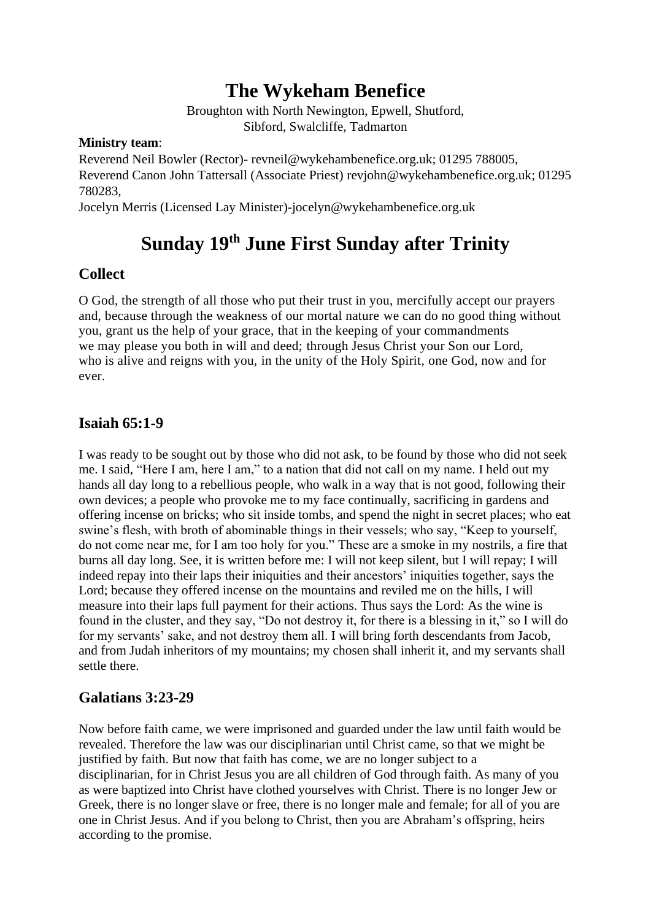## **The Wykeham Benefice**

Broughton with North Newington, Epwell, Shutford, Sibford, Swalcliffe, Tadmarton

#### **Ministry team**:

Reverend Neil Bowler (Rector)- revneil@wykehambenefice.org.uk; 01295 788005, Reverend Canon John Tattersall (Associate Priest) [revjohn@wykehambenefice.org.uk;](mailto:revjohn@wykehambenefice.org.uk) 01295 780283,

Jocelyn Merris (Licensed Lay Minister)-jocelyn@wykehambenefice.org.uk

# **Sunday 19 th June First Sunday after Trinity**

### **Collect**

O God, the strength of all those who put their trust in you, mercifully accept our prayers and, because through the weakness of our mortal nature we can do no good thing without you, grant us the help of your grace, that in the keeping of your commandments we may please you both in will and deed; through Jesus Christ your Son our Lord, who is alive and reigns with you, in the unity of the Holy Spirit, one God, now and for ever.

### **Isaiah 65:1-9**

I was ready to be sought out by those who did not ask, to be found by those who did not seek me. I said, "Here I am, here I am," to a nation that did not call on my name. I held out my hands all day long to a rebellious people, who walk in a way that is not good, following their own devices; a people who provoke me to my face continually, sacrificing in gardens and offering incense on bricks; who sit inside tombs, and spend the night in secret places; who eat swine's flesh, with broth of abominable things in their vessels; who say, "Keep to yourself, do not come near me, for I am too holy for you." These are a smoke in my nostrils, a fire that burns all day long. See, it is written before me: I will not keep silent, but I will repay; I will indeed repay into their laps their iniquities and their ancestors' iniquities together, says the Lord; because they offered incense on the mountains and reviled me on the hills, I will measure into their laps full payment for their actions. Thus says the Lord: As the wine is found in the cluster, and they say, "Do not destroy it, for there is a blessing in it," so I will do for my servants' sake, and not destroy them all. I will bring forth descendants from Jacob, and from Judah inheritors of my mountains; my chosen shall inherit it, and my servants shall settle there.

### **Galatians 3:23-29**

Now before faith came, we were imprisoned and guarded under the law until faith would be revealed. Therefore the law was our disciplinarian until Christ came, so that we might be justified by faith. But now that faith has come, we are no longer subject to a disciplinarian, for in Christ Jesus you are all children of God through faith. As many of you as were baptized into Christ have clothed yourselves with Christ. There is no longer Jew or Greek, there is no longer slave or free, there is no longer male and female; for all of you are one in Christ Jesus. And if you belong to Christ, then you are Abraham's offspring, heirs according to the promise.